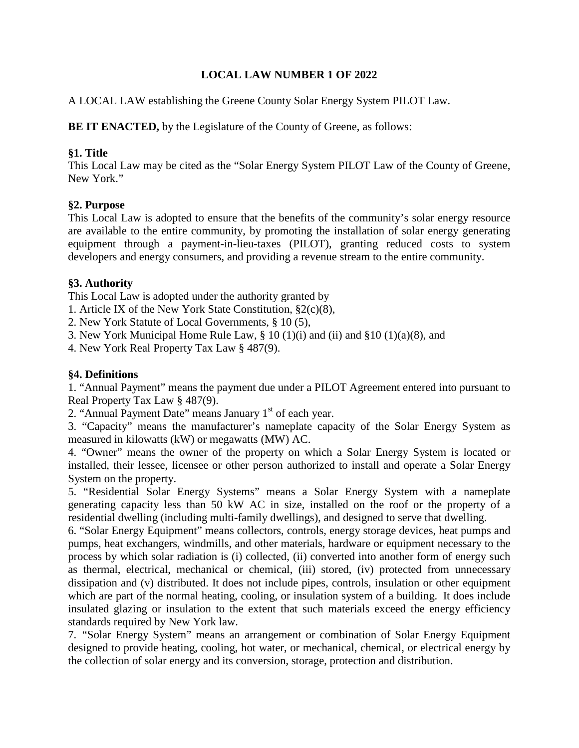# **LOCAL LAW NUMBER 1 OF 2022**

A LOCAL LAW establishing the Greene County Solar Energy System PILOT Law.

**BE IT ENACTED,** by the Legislature of the County of Greene, as follows:

## **§1. Title**

This Local Law may be cited as the "Solar Energy System PILOT Law of the County of Greene, New York."

## **§2. Purpose**

This Local Law is adopted to ensure that the benefits of the community's solar energy resource are available to the entire community, by promoting the installation of solar energy generating equipment through a payment-in-lieu-taxes (PILOT), granting reduced costs to system developers and energy consumers, and providing a revenue stream to the entire community.

## **§3. Authority**

This Local Law is adopted under the authority granted by

1. Article IX of the New York State Constitution, §2(c)(8),

2. New York Statute of Local Governments, § 10 (5),

3. New York Municipal Home Rule Law, § 10 (1)(i) and (ii) and §10 (1)(a)(8), and

4. New York Real Property Tax Law § 487(9).

# **§4. Definitions**

1. "Annual Payment" means the payment due under a PILOT Agreement entered into pursuant to Real Property Tax Law § 487(9).

2. "Annual Payment Date" means January  $1<sup>st</sup>$  of each year.

3. "Capacity" means the manufacturer's nameplate capacity of the Solar Energy System as measured in kilowatts (kW) or megawatts (MW) AC.

4. "Owner" means the owner of the property on which a Solar Energy System is located or installed, their lessee, licensee or other person authorized to install and operate a Solar Energy System on the property.

5. "Residential Solar Energy Systems" means a Solar Energy System with a nameplate generating capacity less than 50 kW AC in size, installed on the roof or the property of a residential dwelling (including multi-family dwellings), and designed to serve that dwelling.

6. "Solar Energy Equipment" means collectors, controls, energy storage devices, heat pumps and pumps, heat exchangers, windmills, and other materials, hardware or equipment necessary to the process by which solar radiation is (i) collected, (ii) converted into another form of energy such as thermal, electrical, mechanical or chemical, (iii) stored, (iv) protected from unnecessary dissipation and (v) distributed. It does not include pipes, controls, insulation or other equipment which are part of the normal heating, cooling, or insulation system of a building. It does include insulated glazing or insulation to the extent that such materials exceed the energy efficiency standards required by New York law.

7. "Solar Energy System" means an arrangement or combination of Solar Energy Equipment designed to provide heating, cooling, hot water, or mechanical, chemical, or electrical energy by the collection of solar energy and its conversion, storage, protection and distribution.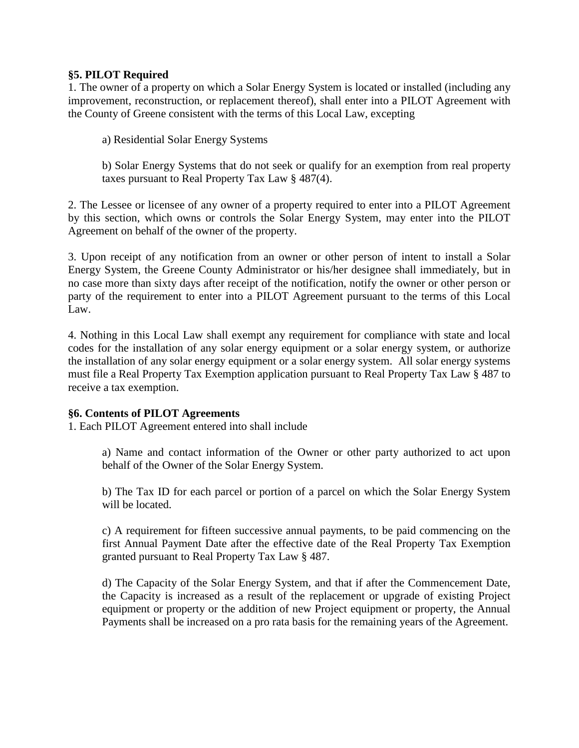### **§5. PILOT Required**

1. The owner of a property on which a Solar Energy System is located or installed (including any improvement, reconstruction, or replacement thereof), shall enter into a PILOT Agreement with the County of Greene consistent with the terms of this Local Law, excepting

a) Residential Solar Energy Systems

b) Solar Energy Systems that do not seek or qualify for an exemption from real property taxes pursuant to Real Property Tax Law § 487(4).

2. The Lessee or licensee of any owner of a property required to enter into a PILOT Agreement by this section, which owns or controls the Solar Energy System, may enter into the PILOT Agreement on behalf of the owner of the property.

3. Upon receipt of any notification from an owner or other person of intent to install a Solar Energy System, the Greene County Administrator or his/her designee shall immediately, but in no case more than sixty days after receipt of the notification, notify the owner or other person or party of the requirement to enter into a PILOT Agreement pursuant to the terms of this Local Law.

4. Nothing in this Local Law shall exempt any requirement for compliance with state and local codes for the installation of any solar energy equipment or a solar energy system, or authorize the installation of any solar energy equipment or a solar energy system. All solar energy systems must file a Real Property Tax Exemption application pursuant to Real Property Tax Law § 487 to receive a tax exemption.

### **§6. Contents of PILOT Agreements**

1. Each PILOT Agreement entered into shall include

a) Name and contact information of the Owner or other party authorized to act upon behalf of the Owner of the Solar Energy System.

b) The Tax ID for each parcel or portion of a parcel on which the Solar Energy System will be located.

c) A requirement for fifteen successive annual payments, to be paid commencing on the first Annual Payment Date after the effective date of the Real Property Tax Exemption granted pursuant to Real Property Tax Law § 487.

d) The Capacity of the Solar Energy System, and that if after the Commencement Date, the Capacity is increased as a result of the replacement or upgrade of existing Project equipment or property or the addition of new Project equipment or property, the Annual Payments shall be increased on a pro rata basis for the remaining years of the Agreement.